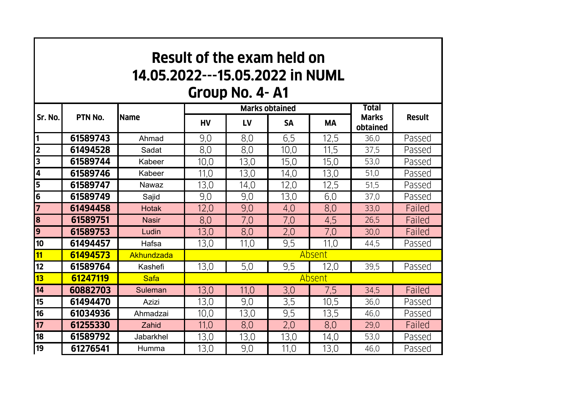| <b>Result of the exam held on</b><br>14.05.2022---15.05.2022 in NUML<br>Group No. 4-A1 |          |                |           |                       |                              |               |          |        |  |  |  |  |
|----------------------------------------------------------------------------------------|----------|----------------|-----------|-----------------------|------------------------------|---------------|----------|--------|--|--|--|--|
| Sr. No.                                                                                | PTN No.  | <b>Name</b>    |           | <b>Marks obtained</b> | <b>Total</b><br><b>Marks</b> | <b>Result</b> |          |        |  |  |  |  |
|                                                                                        |          |                | <b>HV</b> | LV                    | <b>SA</b>                    | <b>MA</b>     | obtained |        |  |  |  |  |
| 1                                                                                      | 61589743 | Ahmad          | 9,0       | 8,0                   | 6,5                          | 12,5          | 36.0     | Passed |  |  |  |  |
| $\overline{2}$                                                                         | 61494528 | Sadat          | 8,0       | 8,0                   | 10,0                         | 11,5          | 37,5     | Passed |  |  |  |  |
| $\overline{\mathbf{3}}$                                                                | 61589744 | Kabeer         | 10,0      | 13,0                  | 15,0                         | 15,0          | 53,0     | Passed |  |  |  |  |
| 4                                                                                      | 61589746 | Kabeer         | 11,0      | 13,0                  | 14,0                         | 13,0          | 51,0     | Passed |  |  |  |  |
| 5                                                                                      | 61589747 | <b>Nawaz</b>   | 13,0      | 14,0                  | 12,0                         | 12,5          | 51,5     | Passed |  |  |  |  |
| $\overline{\mathbf{6}}$                                                                | 61589749 | Sajid          | 9,0       | 9,0                   | 13,0                         | 6,0           | 37,0     | Passed |  |  |  |  |
|                                                                                        | 61494458 | <b>Hotak</b>   | 12,0      | 9,0                   | 4,0                          | 8,0           | 33,0     | Failed |  |  |  |  |
| 8                                                                                      | 61589751 | <b>Nasir</b>   | 8,0       | 7,0                   | 7,0                          | 4,5           | 26,5     | Failed |  |  |  |  |
| 9                                                                                      | 61589753 | Ludin          | 13,0      | 8,0                   | 2,0                          | 7,0           | 30,0     | Failed |  |  |  |  |
| 10                                                                                     | 61494457 | Hafsa          | 13,0      | 11,0                  | 9,5                          | 11.0          | 44.5     | Passed |  |  |  |  |
| 11                                                                                     | 61494573 | Akhundzada     | Absent    |                       |                              |               |          |        |  |  |  |  |
| 12                                                                                     | 61589764 | Kashefi        | 13,0      | 5,0                   | 9,5                          | 12.0          | 39,5     | Passed |  |  |  |  |
| 13                                                                                     | 61247119 | <b>Safa</b>    | Absent    |                       |                              |               |          |        |  |  |  |  |
| 14                                                                                     | 60882703 | <b>Suleman</b> | 13,0      | 11,0                  | 3,0                          | 7,5           | 34,5     | Failed |  |  |  |  |
| 15                                                                                     | 61494470 | <b>Azizi</b>   | 13,0      | 9,0                   | 3,5                          | 10,5          | 36,0     | Passed |  |  |  |  |
| 16                                                                                     | 61034936 | Ahmadzai       | 10,0      | 13,0                  | 9,5                          | 13,5          | 46,0     | Passed |  |  |  |  |
| 17                                                                                     | 61255330 | Zahid          | 11,0      | 8,0                   | 2,0                          | 8,0           | 29,0     | Failed |  |  |  |  |
| 18                                                                                     | 61589792 | Jabarkhel      | 13,0      | 13,0                  | 13,0                         | 14,0          | 53,0     | Passed |  |  |  |  |
| 19                                                                                     | 61276541 | Humma          | 13,0      | 9,0                   | 11,0                         | 13,0          | 46.0     | Passed |  |  |  |  |